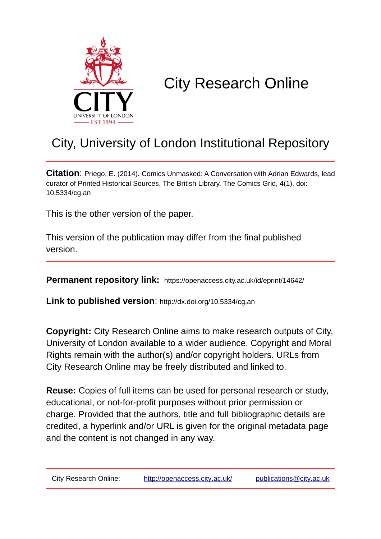

# City Research Online

# City, University of London Institutional Repository

**Citation**: Priego, E. (2014). Comics Unmasked: A Conversation with Adrian Edwards, lead curator of Printed Historical Sources, The British Library. The Comics Grid, 4(1), doi: 10.5334/cg.an

This is the other version of the paper.

This version of the publication may differ from the final published version.

**Permanent repository link:** https://openaccess.city.ac.uk/id/eprint/14642/

**Link to published version**: http://dx.doi.org/10.5334/cg.an

**Copyright:** City Research Online aims to make research outputs of City, University of London available to a wider audience. Copyright and Moral Rights remain with the author(s) and/or copyright holders. URLs from City Research Online may be freely distributed and linked to.

**Reuse:** Copies of full items can be used for personal research or study, educational, or not-for-profit purposes without prior permission or charge. Provided that the authors, title and full bibliographic details are credited, a hyperlink and/or URL is given for the original metadata page and the content is not changed in any way.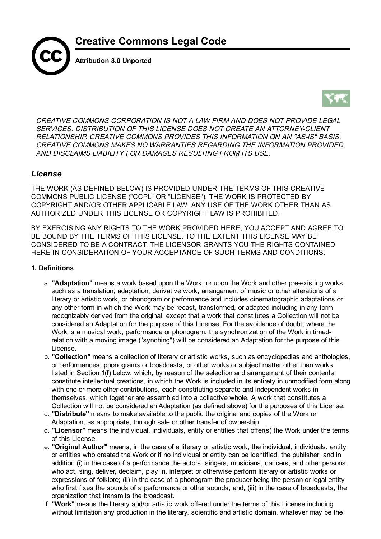



CREATIVE COMMONS CORPORATION IS NOT A LAW FIRM AND DOES NOT PROVIDE LEGAL SERVICES. DISTRIBUTION OF THIS LICENSE DOES NOT CREATE AN ATTORNEY-CLIENT RELATIONSHIP. CREATIVE COMMONS PROVIDES THIS INFORMATION ON AN "AS-IS" BASIS. CREATIVE COMMONS MAKES NO WARRANTIES REGARDING THE INFORMATION PROVIDED, AND DISCLAIMS LIABILITY FOR DAMAGES RESULTING FROM ITS USE.

### *License*

THE WORK (AS DEFINED BELOW) IS PROVIDED UNDER THE TERMS OF THIS CREATIVE COMMONS PUBLIC LICENSE ("CCPL" OR "LICENSE"). THE WORK IS PROTECTED BY COPYRIGHT AND/OR OTHER APPLICABLE LAW. ANY USE OF THE WORK OTHER THAN AS AUTHORIZED UNDER THIS LICENSE OR COPYRIGHT LAW IS PROHIBITED.

BY EXERCISING ANY RIGHTS TO THE WORK PROVIDED HERE, YOU ACCEPT AND AGREE TO BE BOUND BY THE TERMS OF THIS LICENSE. TO THE EXTENT THIS LICENSE MAY BE CONSIDERED TO BE A CONTRACT, THE LICENSOR GRANTS YOU THE RIGHTS CONTAINED HERE IN CONSIDERATION OF YOUR ACCEPTANCE OF SUCH TERMS AND CONDITIONS.

#### 1. Definitions

- a. "Adaptation" means a work based upon the Work, or upon the Work and other pre-existing works, such as a translation, adaptation, derivative work, arrangement of music or other alterations of a literary or artistic work, or phonogram or performance and includes cinematographic adaptations or any other form in which the Work may be recast, transformed, or adapted including in any form recognizably derived from the original, except that a work that constitutes a Collection will not be considered an Adaptation for the purpose of this License. For the avoidance of doubt, where the Work is a musical work, performance or phonogram, the synchronization of the Work in timedrelation with a moving image ("synching") will be considered an Adaptation for the purpose of this License.
- b. "Collection" means a collection of literary or artistic works, such as encyclopedias and anthologies, or performances, phonograms or broadcasts, or other works or subject matter other than works listed in Section 1(f) below, which, by reason of the selection and arrangement of their contents, constitute intellectual creations, in which the Work is included in its entirety in unmodified form along with one or more other contributions, each constituting separate and independent works in themselves, which together are assembled into a collective whole. A work that constitutes a Collection will not be considered an Adaptation (as defined above) for the purposes of this License.
- c. "Distribute" means to make available to the public the original and copies of the Work or Adaptation, as appropriate, through sale or other transfer of ownership.
- d. "Licensor" means the individual, individuals, entity or entities that offer(s) the Work under the terms of this License.
- e. "Original Author" means, in the case of a literary or artistic work, the individual, individuals, entity or entities who created the Work or if no individual or entity can be identified, the publisher; and in addition (i) in the case of a performance the actors, singers, musicians, dancers, and other persons who act, sing, deliver, declaim, play in, interpret or otherwise perform literary or artistic works or expressions of folklore; (ii) in the case of a phonogram the producer being the person or legal entity who first fixes the sounds of a performance or other sounds; and, (iii) in the case of broadcasts, the organization that transmits the broadcast.
- f. "Work" means the literary and/or artistic work offered under the terms of this License including without limitation any production in the literary, scientific and artistic domain, whatever may be the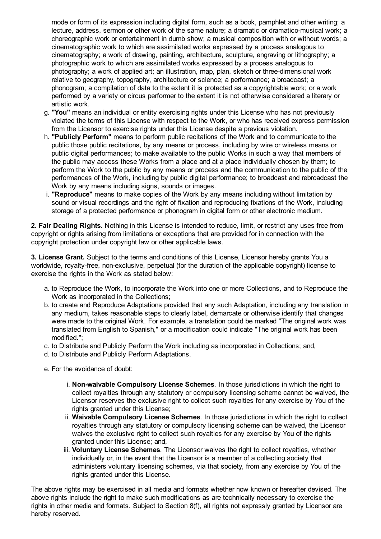mode or form of its expression including digital form, such as a book, pamphlet and other writing; a lecture, address, sermon or other work of the same nature; a dramatic or dramatico-musical work; a choreographic work or entertainment in dumb show; a musical composition with or without words; a cinematographic work to which are assimilated works expressed by a process analogous to cinematography; a work of drawing, painting, architecture, sculpture, engraving or lithography; a photographic work to which are assimilated works expressed by a process analogous to photography; a work of applied art; an illustration, map, plan, sketch or three-dimensional work relative to geography, topography, architecture or science; a performance; a broadcast; a phonogram; a compilation of data to the extent it is protected as a copyrightable work; or a work performed by a variety or circus performer to the extent it is not otherwise considered a literary or artistic work.

- g. "You" means an individual or entity exercising rights under this License who has not previously violated the terms of this License with respect to the Work, or who has received express permission from the Licensor to exercise rights under this License despite a previous violation.
- h. "Publicly Perform" means to perform public recitations of the Work and to communicate to the public those public recitations, by any means or process, including by wire or wireless means or public digital performances; to make available to the public Works in such a way that members of the public may access these Works from a place and at a place individually chosen by them; to perform the Work to the public by any means or process and the communication to the public of the performances of the Work, including by public digital performance; to broadcast and rebroadcast the Work by any means including signs, sounds or images.
- i. "Reproduce" means to make copies of the Work by any means including without limitation by sound or visual recordings and the right of fixation and reproducing fixations of the Work, including storage of a protected performance or phonogram in digital form or other electronic medium.

2. Fair Dealing Rights. Nothing in this License is intended to reduce, limit, or restrict any uses free from copyright or rights arising from limitations or exceptions that are provided for in connection with the copyright protection under copyright law or other applicable laws.

3. License Grant. Subject to the terms and conditions of this License, Licensor hereby grants You a worldwide, royalty-free, non-exclusive, perpetual (for the duration of the applicable copyright) license to exercise the rights in the Work as stated below:

- a. to Reproduce the Work, to incorporate the Work into one or more Collections, and to Reproduce the Work as incorporated in the Collections;
- b. to create and Reproduce Adaptations provided that any such Adaptation, including any translation in any medium, takes reasonable steps to clearly label, demarcate or otherwise identify that changes were made to the original Work. For example, a translation could be marked "The original work was translated from English to Spanish," or a modification could indicate "The original work has been modified.";
- c. to Distribute and Publicly Perform the Work including as incorporated in Collections; and,
- d. to Distribute and Publicly Perform Adaptations.
- e. For the avoidance of doubt:
	- i. Non-waivable Compulsory License Schemes. In those jurisdictions in which the right to collect royalties through any statutory or compulsory licensing scheme cannot be waived, the Licensor reserves the exclusive right to collect such royalties for any exercise by You of the rights granted under this License;
	- ii. Waivable Compulsory License Schemes. In those jurisdictions in which the right to collect royalties through any statutory or compulsory licensing scheme can be waived, the Licensor waives the exclusive right to collect such royalties for any exercise by You of the rights granted under this License; and,
	- iii. Voluntary License Schemes. The Licensor waives the right to collect royalties, whether individually or, in the event that the Licensor is a member of a collecting society that administers voluntary licensing schemes, via that society, from any exercise by You of the rights granted under this License.

The above rights may be exercised in all media and formats whether now known or hereafter devised. The above rights include the right to make such modifications as are technically necessary to exercise the rights in other media and formats. Subject to Section 8(f), all rights not expressly granted by Licensor are hereby reserved.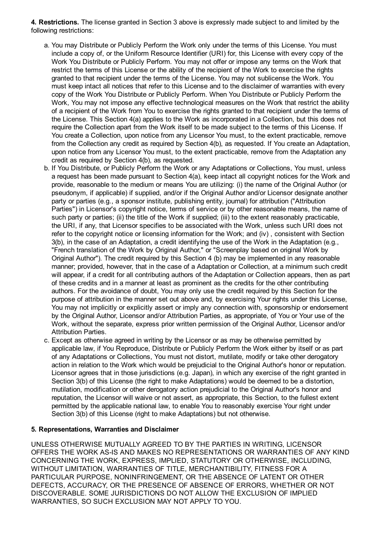4. Restrictions. The license granted in Section 3 above is expressly made subject to and limited by the following restrictions:

- a. You may Distribute or Publicly Perform the Work only under the terms of this License. You must include a copy of, or the Uniform Resource Identifier (URI) for, this License with every copy of the Work You Distribute or Publicly Perform. You may not offer or impose any terms on the Work that restrict the terms of this License or the ability of the recipient of the Work to exercise the rights granted to that recipient under the terms of the License. You may not sublicense the Work. You must keep intact all notices that refer to this License and to the disclaimer of warranties with every copy of the Work You Distribute or Publicly Perform. When You Distribute or Publicly Perform the Work, You may not impose any effective technological measures on the Work that restrict the ability of a recipient of the Work from You to exercise the rights granted to that recipient under the terms of the License. This Section 4(a) applies to the Work as incorporated in a Collection, but this does not require the Collection apart from the Work itself to be made subject to the terms of this License. If You create a Collection, upon notice from any Licensor You must, to the extent practicable, remove from the Collection any credit as required by Section 4(b), as requested. If You create an Adaptation, upon notice from any Licensor You must, to the extent practicable, remove from the Adaptation any credit as required by Section 4(b), as requested.
- b. If You Distribute, or Publicly Perform the Work or any Adaptations or Collections, You must, unless a request has been made pursuant to Section 4(a), keep intact all copyright notices for the Work and provide, reasonable to the medium or means You are utilizing: (i) the name of the Original Author (or pseudonym, if applicable) if supplied, and/or if the Original Author and/or Licensor designate another party or parties (e.g., a sponsor institute, publishing entity, journal) for attribution ("Attribution Parties") in Licensor's copyright notice, terms of service or by other reasonable means, the name of such party or parties; (ii) the title of the Work if supplied; (iii) to the extent reasonably practicable, the URI, if any, that Licensor specifies to be associated with the Work, unless such URI does not refer to the copyright notice or licensing information for the Work; and (iv) , consistent with Section 3(b), in the case of an Adaptation, a credit identifying the use of the Work in the Adaptation (e.g., "French translation of the Work by Original Author," or "Screenplay based on original Work by Original Author"). The credit required by this Section 4 (b) may be implemented in any reasonable manner; provided, however, that in the case of a Adaptation or Collection, at a minimum such credit will appear, if a credit for all contributing authors of the Adaptation or Collection appears, then as part of these credits and in a manner at least as prominent as the credits for the other contributing authors. For the avoidance of doubt, You may only use the credit required by this Section for the purpose of attribution in the manner set out above and, by exercising Your rights under this License, You may not implicitly or explicitly assert or imply any connection with, sponsorship or endorsement by the Original Author, Licensor and/or Attribution Parties, as appropriate, of You or Your use of the Work, without the separate, express prior written permission of the Original Author, Licensor and/or Attribution Parties.
- c. Except as otherwise agreed in writing by the Licensor or as may be otherwise permitted by applicable law, if You Reproduce, Distribute or Publicly Perform the Work either by itself or as part of any Adaptations or Collections, You must not distort, mutilate, modify or take other derogatory action in relation to the Work which would be prejudicial to the Original Author's honor or reputation. Licensor agrees that in those jurisdictions (e.g. Japan), in which any exercise of the right granted in Section 3(b) of this License (the right to make Adaptations) would be deemed to be a distortion, mutilation, modification or other derogatory action prejudicial to the Original Author's honor and reputation, the Licensor will waive or not assert, as appropriate, this Section, to the fullest extent permitted by the applicable national law, to enable You to reasonably exercise Your right under Section 3(b) of this License (right to make Adaptations) but not otherwise.

#### 5. Representations, Warranties and Disclaimer

UNLESS OTHERWISE MUTUALLY AGREED TO BY THE PARTIES IN WRITING, LICENSOR OFFERS THE WORK ASIS AND MAKES NO REPRESENTATIONS OR WARRANTIES OF ANY KIND CONCERNING THE WORK, EXPRESS, IMPLIED, STATUTORY OR OTHERWISE, INCLUDING, WITHOUT LIMITATION, WARRANTIES OF TITLE, MERCHANTIBILITY, FITNESS FOR A PARTICULAR PURPOSE, NONINFRINGEMENT, OR THE ABSENCE OF LATENT OR OTHER DEFECTS, ACCURACY, OR THE PRESENCE OF ABSENCE OF ERRORS, WHETHER OR NOT DISCOVERABLE. SOME JURISDICTIONS DO NOT ALLOW THE EXCLUSION OF IMPLIED WARRANTIES, SO SUCH EXCLUSION MAY NOT APPLY TO YOU.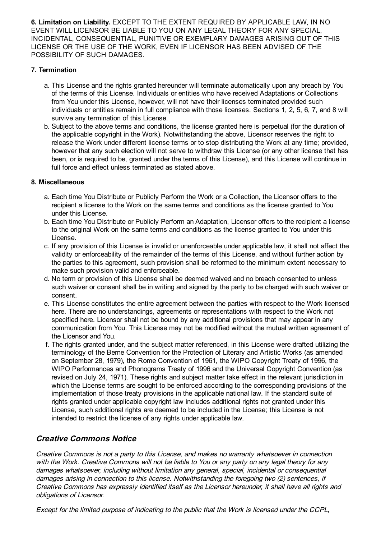6. Limitation on Liability. EXCEPT TO THE EXTENT REQUIRED BY APPLICABLE LAW, IN NO EVENT WILL LICENSOR BE LIABLE TO YOU ON ANY LEGAL THEORY FOR ANY SPECIAL, INCIDENTAL, CONSEQUENTIAL, PUNITIVE OR EXEMPLARY DAMAGES ARISING OUT OF THIS LICENSE OR THE USE OF THE WORK, EVEN IF LICENSOR HAS BEEN ADVISED OF THE POSSIBILITY OF SUCH DAMAGES.

#### 7. Termination

- a. This License and the rights granted hereunder will terminate automatically upon any breach by You of the terms of this License. Individuals or entities who have received Adaptations or Collections from You under this License, however, will not have their licenses terminated provided such individuals or entities remain in full compliance with those licenses. Sections 1, 2, 5, 6, 7, and 8 will survive any termination of this License.
- b. Subject to the above terms and conditions, the license granted here is perpetual (for the duration of the applicable copyright in the Work). Notwithstanding the above, Licensor reserves the right to release the Work under different license terms or to stop distributing the Work at any time; provided, however that any such election will not serve to withdraw this License (or any other license that has been, or is required to be, granted under the terms of this License), and this License will continue in full force and effect unless terminated as stated above.

#### 8. Miscellaneous

- a. Each time You Distribute or Publicly Perform the Work or a Collection, the Licensor offers to the recipient a license to the Work on the same terms and conditions as the license granted to You under this License.
- b. Each time You Distribute or Publicly Perform an Adaptation, Licensor offers to the recipient a license to the original Work on the same terms and conditions as the license granted to You under this License.
- c. If any provision of this License is invalid or unenforceable under applicable law, it shall not affect the validity or enforceability of the remainder of the terms of this License, and without further action by the parties to this agreement, such provision shall be reformed to the minimum extent necessary to make such provision valid and enforceable.
- d. No term or provision of this License shall be deemed waived and no breach consented to unless such waiver or consent shall be in writing and signed by the party to be charged with such waiver or consent.
- e. This License constitutes the entire agreement between the parties with respect to the Work licensed here. There are no understandings, agreements or representations with respect to the Work not specified here. Licensor shall not be bound by any additional provisions that may appear in any communication from You. This License may not be modified without the mutual written agreement of the Licensor and You.
- f. The rights granted under, and the subject matter referenced, in this License were drafted utilizing the terminology of the Berne Convention for the Protection of Literary and Artistic Works (as amended on September 28, 1979), the Rome Convention of 1961, the WIPO Copyright Treaty of 1996, the WIPO Performances and Phonograms Treaty of 1996 and the Universal Copyright Convention (as revised on July 24, 1971). These rights and subject matter take effect in the relevant jurisdiction in which the License terms are sought to be enforced according to the corresponding provisions of the implementation of those treaty provisions in the applicable national law. If the standard suite of rights granted under applicable copyright law includes additional rights not granted under this License, such additional rights are deemed to be included in the License; this License is not intended to restrict the license of any rights under applicable law.

## Creative Commons Notice

Creative Commons is not <sup>a</sup> party to this License, and makes no warranty whatsoever in connection with the Work. Creative Commons will not be liable to You or any party on any legal theory for any damages whatsoever, including without limitation any general, special, incidental or consequential damages arising in connection to this license. Notwithstanding the foregoing two (2) sentences, if Creative Commons has expressly identified itself as the Licensor hereunder, it shall have all rights and obligations of Licensor.

Except for the limited purpose of indicating to the public that the Work is licensed under the CCPL,